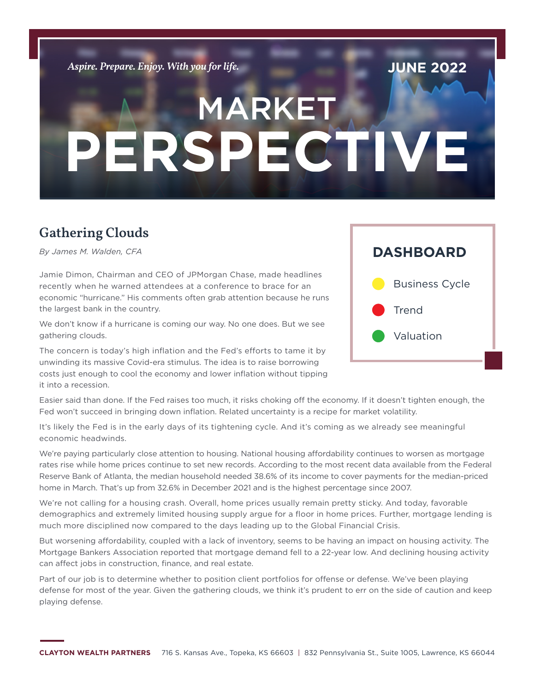*Aspire. Prepare. Enjoy. With you for life.* **JUNE 2022**

## MARKET **PERSPECTIVE**

## **Gathering Clouds**

*By James M. Walden, CFA*

Jamie Dimon, Chairman and CEO of JPMorgan Chase, made headlines recently when he warned attendees at a conference to brace for an economic "hurricane." His comments often grab attention because he runs the largest bank in the country.

We don't know if a hurricane is coming our way. No one does. But we see gathering clouds.

The concern is today's high inflation and the Fed's efforts to tame it by unwinding its massive Covid-era stimulus. The idea is to raise borrowing costs just enough to cool the economy and lower inflation without tipping it into a recession.



Easier said than done. If the Fed raises too much, it risks choking off the economy. If it doesn't tighten enough, the Fed won't succeed in bringing down inflation. Related uncertainty is a recipe for market volatility.

It's likely the Fed is in the early days of its tightening cycle. And it's coming as we already see meaningful economic headwinds.

We're paying particularly close attention to housing. National housing affordability continues to worsen as mortgage rates rise while home prices continue to set new records. According to the most recent data available from the Federal Reserve Bank of Atlanta, the median household needed 38.6% of its income to cover payments for the median-priced home in March. That's up from 32.6% in December 2021 and is the highest percentage since 2007.

We're not calling for a housing crash. Overall, home prices usually remain pretty sticky. And today, favorable demographics and extremely limited housing supply argue for a floor in home prices. Further, mortgage lending is much more disciplined now compared to the days leading up to the Global Financial Crisis.

But worsening affordability, coupled with a lack of inventory, seems to be having an impact on housing activity. The Mortgage Bankers Association reported that mortgage demand fell to a 22-year low. And declining housing activity can affect jobs in construction, finance, and real estate.

Part of our job is to determine whether to position client portfolios for offense or defense. We've been playing defense for most of the year. Given the gathering clouds, we think it's prudent to err on the side of caution and keep playing defense.